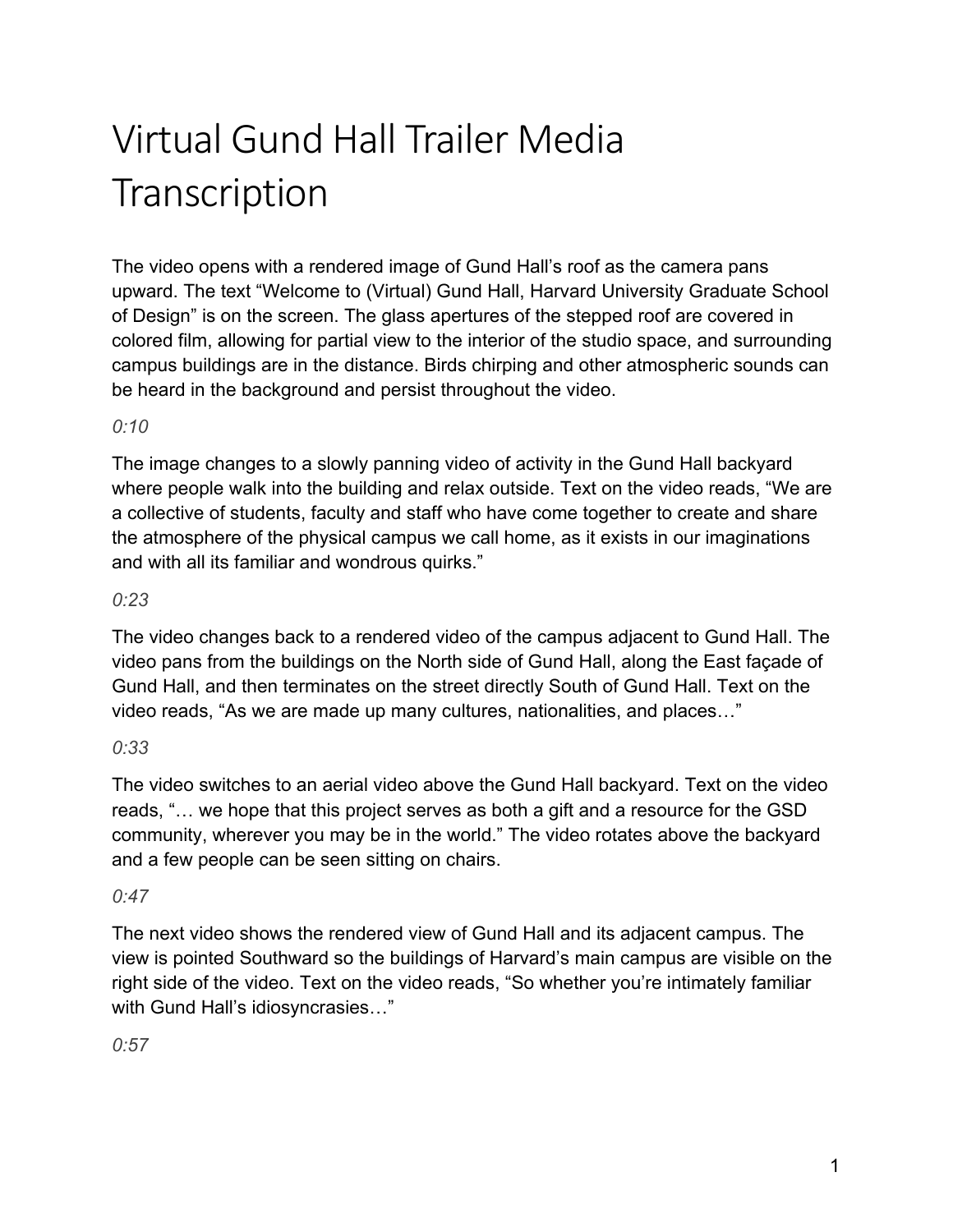# Virtual Gund Hall Trailer Media **Transcription**

 The video opens with a rendered image of Gund Hall's roof as the camera pans upward. The text "Welcome to (Virtual) Gund Hall, Harvard University Graduate School of Design" is on the screen. The glass apertures of the stepped roof are covered in colored film, allowing for partial view to the interior of the studio space, and surrounding campus buildings are in the distance. Birds chirping and other atmospheric sounds can be heard in the background and persist throughout the video.

### *0:10*

 The image changes to a slowly panning video of activity in the Gund Hall backyard where people walk into the building and relax outside. Text on the video reads, "We are a collective of students, faculty and staff who have come together to create and share the atmosphere of the physical campus we call home, as it exists in our imaginations and with all its familiar and wondrous quirks."

### *0:23*

 The video changes back to a rendered video of the campus adjacent to Gund Hall. The video pans from the buildings on the North side of Gund Hall, along the East façade of Gund Hall, and then terminates on the street directly South of Gund Hall. Text on the video reads, "As we are made up many cultures, nationalities, and places…"

### *0:33*

 The video switches to an aerial video above the Gund Hall backyard. Text on the video reads, "… we hope that this project serves as both a gift and a resource for the GSD community, wherever you may be in the world." The video rotates above the backyard and a few people can be seen sitting on chairs.

### *0:47*

 The next video shows the rendered view of Gund Hall and its adjacent campus. The view is pointed Southward so the buildings of Harvard's main campus are visible on the right side of the video. Text on the video reads, "So whether you're intimately familiar with Gund Hall's idiosyncrasies…"

### *0:57*